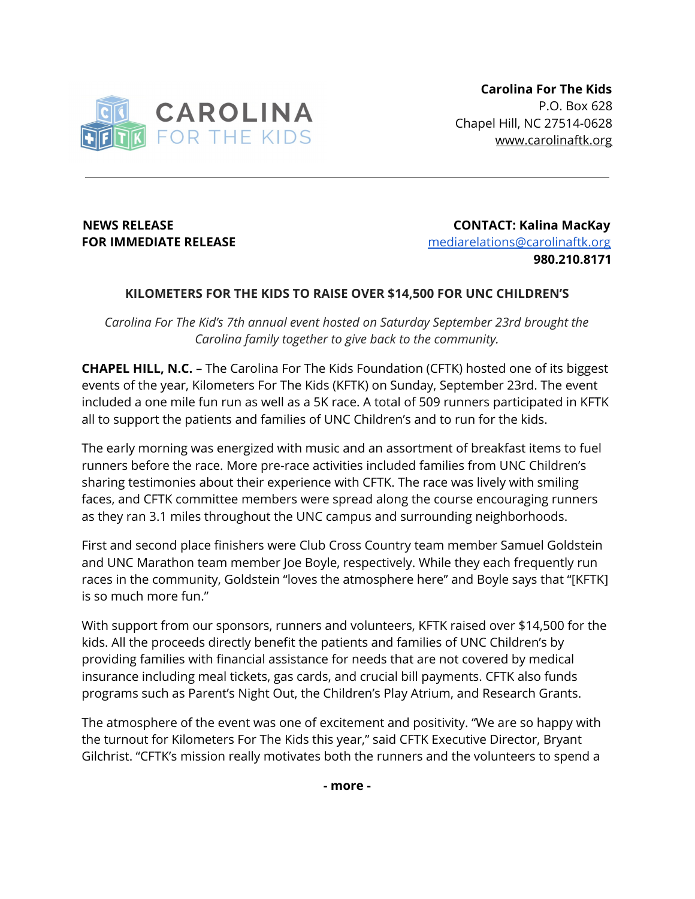

**NEWS RELEASE CONTACT: Kalina MacKay FOR IMMEDIATE RELEASE Example 20 and 10 and 10 and 10 and 10 and 10 and 10 and 10 and 10 and 10 and 10 and 10 and 10 and 10 and 10 and 10 and 10 and 10 and 10 and 10 and 10 and 10 and 10 and 10 and 10 and 10 and 10 and 980.210.8171**

## **KILOMETERS FOR THE KIDS TO RAISE OVER \$14,500 FOR UNC CHILDREN'S**

*Carolina For The Kid's 7th annual event hosted on Saturday September 23rd brought the Carolina family together to give back to the community.*

**CHAPEL HILL, N.C.** – The Carolina For The Kids Foundation (CFTK) hosted one of its biggest events of the year, Kilometers For The Kids (KFTK) on Sunday, September 23rd. The event included a one mile fun run as well as a 5K race. A total of 509 runners participated in KFTK all to support the patients and families of UNC Children's and to run for the kids.

The early morning was energized with music and an assortment of breakfast items to fuel runners before the race. More pre-race activities included families from UNC Children's sharing testimonies about their experience with CFTK. The race was lively with smiling faces, and CFTK committee members were spread along the course encouraging runners as they ran 3.1 miles throughout the UNC campus and surrounding neighborhoods.

First and second place finishers were Club Cross Country team member Samuel Goldstein and UNC Marathon team member Joe Boyle, respectively. While they each frequently run races in the community, Goldstein "loves the atmosphere here" and Boyle says that "[KFTK] is so much more fun."

With support from our sponsors, runners and volunteers, KFTK raised over \$14,500 for the kids. All the proceeds directly benefit the patients and families of UNC Children's by providing families with financial assistance for needs that are not covered by medical insurance including meal tickets, gas cards, and crucial bill payments. CFTK also funds programs such as Parent's Night Out, the Children's Play Atrium, and Research Grants.

The atmosphere of the event was one of excitement and positivity. "We are so happy with the turnout for Kilometers For The Kids this year," said CFTK Executive Director, Bryant Gilchrist. "CFTK's mission really motivates both the runners and the volunteers to spend a

**- more -**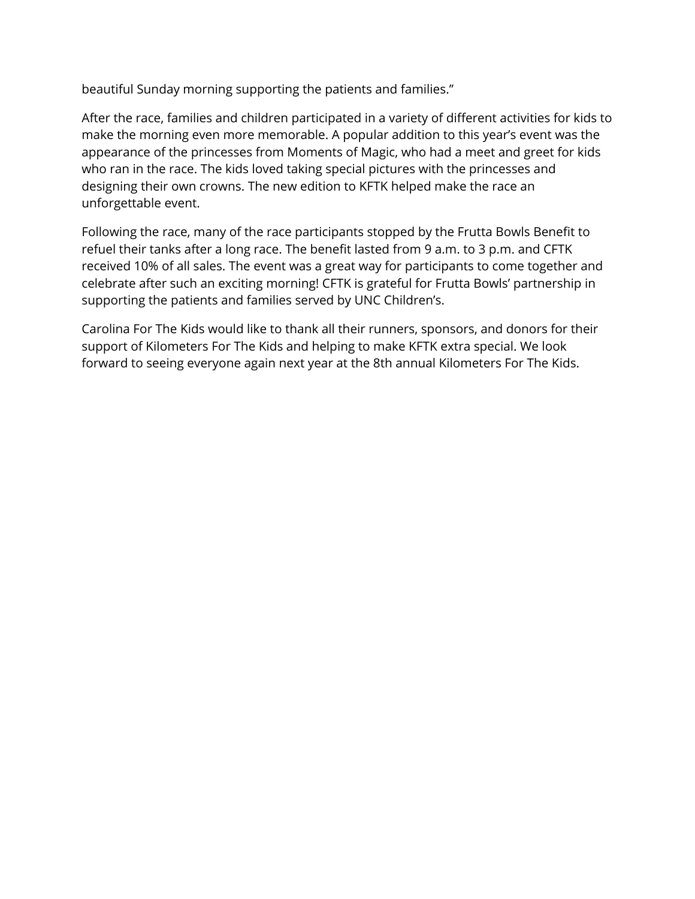beautiful Sunday morning supporting the patients and families."

After the race, families and children participated in a variety of different activities for kids to make the morning even more memorable. A popular addition to this year's event was the appearance of the princesses from Moments of Magic, who had a meet and greet for kids who ran in the race. The kids loved taking special pictures with the princesses and designing their own crowns. The new edition to KFTK helped make the race an unforgettable event.

Following the race, many of the race participants stopped by the Frutta Bowls Benefit to refuel their tanks after a long race. The benefit lasted from 9 a.m. to 3 p.m. and CFTK received 10% of all sales. The event was a great way for participants to come together and celebrate after such an exciting morning! CFTK is grateful for Frutta Bowls' partnership in supporting the patients and families served by UNC Children's.

Carolina For The Kids would like to thank all their runners, sponsors, and donors for their support of Kilometers For The Kids and helping to make KFTK extra special. We look forward to seeing everyone again next year at the 8th annual Kilometers For The Kids.